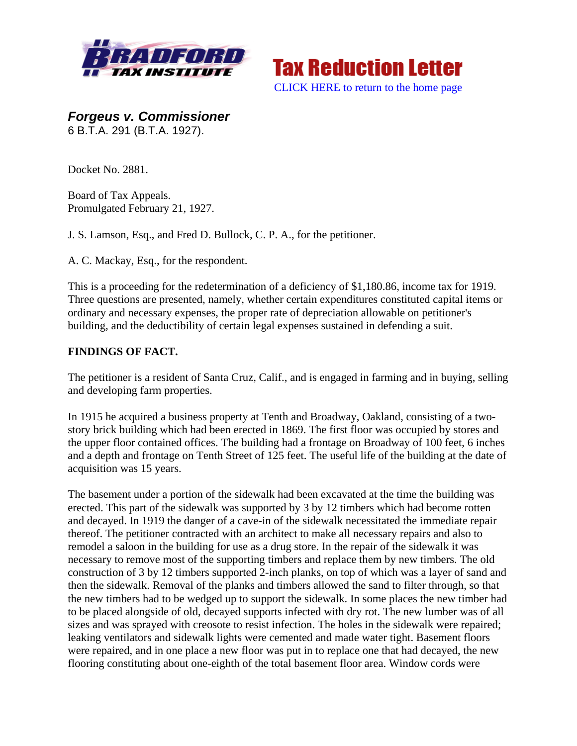



*Forgeus v. Commissioner*  6 B.T.A. 291 (B.T.A. 1927).

Docket No. 2881.

Board of Tax Appeals. Promulgated February 21, 1927.

J. S. Lamson, Esq., and Fred D. Bullock, C. P. A., for the petitioner.

A. C. Mackay, Esq., for the respondent.

This is a proceeding for the redetermination of a deficiency of \$1,180.86, income tax for 1919. Three questions are presented, namely, whether certain expenditures constituted capital items or ordinary and necessary expenses, the proper rate of depreciation allowable on petitioner's building, and the deductibility of certain legal expenses sustained in defending a suit.

## **FINDINGS OF FACT.**

The petitioner is a resident of Santa Cruz, Calif., and is engaged in farming and in buying, selling and developing farm properties.

In 1915 he acquired a business property at Tenth and Broadway, Oakland, consisting of a twostory brick building which had been erected in 1869. The first floor was occupied by stores and the upper floor contained offices. The building had a frontage on Broadway of 100 feet, 6 inches and a depth and frontage on Tenth Street of 125 feet. The useful life of the building at the date of acquisition was 15 years.

The basement under a portion of the sidewalk had been excavated at the time the building was erected. This part of the sidewalk was supported by 3 by 12 timbers which had become rotten and decayed. In 1919 the danger of a cave-in of the sidewalk necessitated the immediate repair thereof. The petitioner contracted with an architect to make all necessary repairs and also to remodel a saloon in the building for use as a drug store. In the repair of the sidewalk it was necessary to remove most of the supporting timbers and replace them by new timbers. The old construction of 3 by 12 timbers supported 2-inch planks, on top of which was a layer of sand and then the sidewalk. Removal of the planks and timbers allowed the sand to filter through, so that the new timbers had to be wedged up to support the sidewalk. In some places the new timber had to be placed alongside of old, decayed supports infected with dry rot. The new lumber was of all sizes and was sprayed with creosote to resist infection. The holes in the sidewalk were repaired; leaking ventilators and sidewalk lights were cemented and made water tight. Basement floors were repaired, and in one place a new floor was put in to replace one that had decayed, the new flooring constituting about one-eighth of the total basement floor area. Window cords were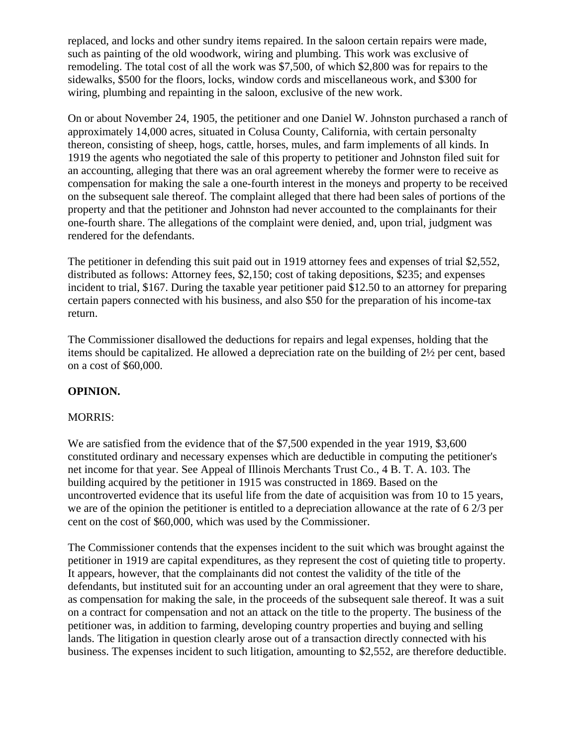replaced, and locks and other sundry items repaired. In the saloon certain repairs were made, such as painting of the old woodwork, wiring and plumbing. This work was exclusive of remodeling. The total cost of all the work was \$7,500, of which \$2,800 was for repairs to the sidewalks, \$500 for the floors, locks, window cords and miscellaneous work, and \$300 for wiring, plumbing and repainting in the saloon, exclusive of the new work.

On or about November 24, 1905, the petitioner and one Daniel W. Johnston purchased a ranch of approximately 14,000 acres, situated in Colusa County, California, with certain personalty thereon, consisting of sheep, hogs, cattle, horses, mules, and farm implements of all kinds. In 1919 the agents who negotiated the sale of this property to petitioner and Johnston filed suit for an accounting, alleging that there was an oral agreement whereby the former were to receive as compensation for making the sale a one-fourth interest in the moneys and property to be received on the subsequent sale thereof. The complaint alleged that there had been sales of portions of the property and that the petitioner and Johnston had never accounted to the complainants for their one-fourth share. The allegations of the complaint were denied, and, upon trial, judgment was rendered for the defendants.

The petitioner in defending this suit paid out in 1919 attorney fees and expenses of trial \$2,552, distributed as follows: Attorney fees, \$2,150; cost of taking depositions, \$235; and expenses incident to trial, \$167. During the taxable year petitioner paid \$12.50 to an attorney for preparing certain papers connected with his business, and also \$50 for the preparation of his income-tax return.

The Commissioner disallowed the deductions for repairs and legal expenses, holding that the items should be capitalized. He allowed a depreciation rate on the building of 2½ per cent, based on a cost of \$60,000.

## **OPINION.**

## MORRIS:

We are satisfied from the evidence that of the \$7,500 expended in the year 1919, \$3,600 constituted ordinary and necessary expenses which are deductible in computing the petitioner's net income for that year. See Appeal of Illinois Merchants Trust Co., 4 B. T. A. 103. The building acquired by the petitioner in 1915 was constructed in 1869. Based on the uncontroverted evidence that its useful life from the date of acquisition was from 10 to 15 years, we are of the opinion the petitioner is entitled to a depreciation allowance at the rate of 6 2/3 per cent on the cost of \$60,000, which was used by the Commissioner.

The Commissioner contends that the expenses incident to the suit which was brought against the petitioner in 1919 are capital expenditures, as they represent the cost of quieting title to property. It appears, however, that the complainants did not contest the validity of the title of the defendants, but instituted suit for an accounting under an oral agreement that they were to share, as compensation for making the sale, in the proceeds of the subsequent sale thereof. It was a suit on a contract for compensation and not an attack on the title to the property. The business of the petitioner was, in addition to farming, developing country properties and buying and selling lands. The litigation in question clearly arose out of a transaction directly connected with his business. The expenses incident to such litigation, amounting to \$2,552, are therefore deductible.